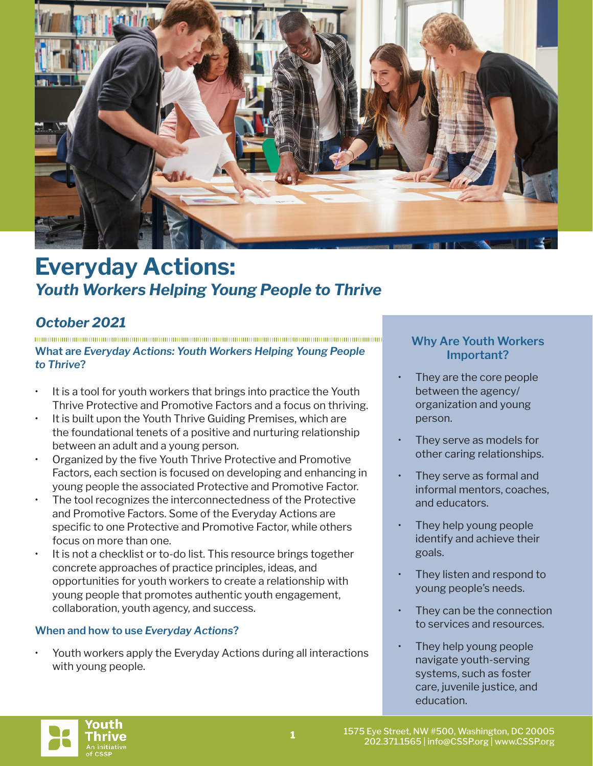

# **Everyday Actions:** *Youth Workers Helping Young People to Thrive*

## *October 2021*

**What are** *Everyday Actions: Youth Workers Helping Young People to Thrive***?**

- It is a tool for youth workers that brings into practice the Youth Thrive Protective and Promotive Factors and a focus on thriving.
- It is built upon the Youth Thrive Guiding Premises, which are the foundational tenets of a positive and nurturing relationship between an adult and a young person.
- Organized by the five Youth Thrive Protective and Promotive Factors, each section is focused on developing and enhancing in young people the associated Protective and Promotive Factor.
- The tool recognizes the interconnectedness of the Protective and Promotive Factors. Some of the Everyday Actions are specific to one Protective and Promotive Factor, while others focus on more than one.
- It is not a checklist or to-do list. This resource brings together concrete approaches of practice principles, ideas, and opportunities for youth workers to create a relationship with young people that promotes authentic youth engagement, collaboration, youth agency, and success.

#### **When and how to use** *Everyday Actions***?**

Youth workers apply the Everyday Actions during all interactions with young people.

#### **Why Are Youth Workers Important?**

- They are the core people between the agency/ organization and young person.
- They serve as models for other caring relationships.
- They serve as formal and informal mentors, coaches, and educators.
- They help young people identify and achieve their goals.
- They listen and respond to young people's needs.
- They can be the connection to services and resources.
- They help young people navigate youth-serving systems, such as foster care, juvenile justice, and education.

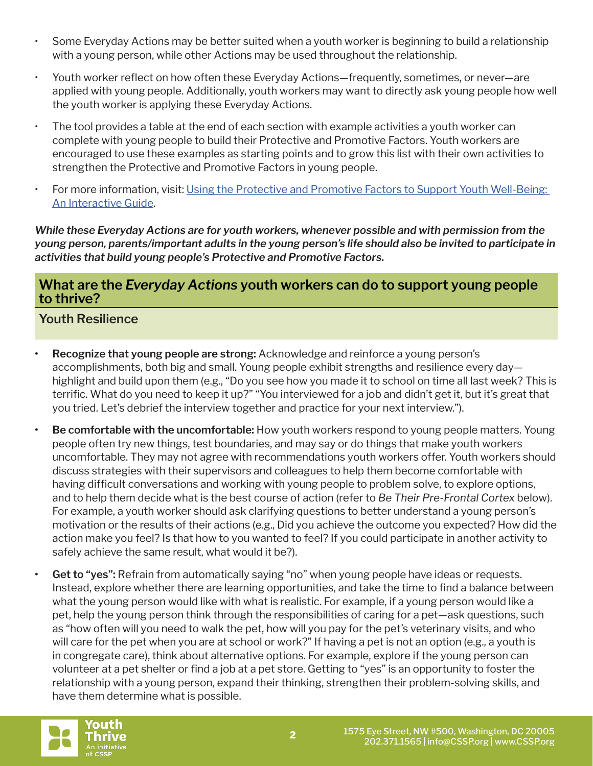- Some Everyday Actions may be better suited when a youth worker is beginning to build a relationship with a young person, while other Actions may be used throughout the relationship.
- Youth worker reflect on how often these Everyday Actions—frequently, sometimes, or never—are applied with young people. Additionally, youth workers may want to directly ask young people how well the youth worker is applying these Everyday Actions.
- The tool provides a table at the end of each section with example activities a youth worker can complete with young people to build their Protective and Promotive Factors. Youth workers are encouraged to use these examples as starting points and to grow this list with their own activities to strengthen the Protective and Promotive Factors in young people.
- For more information, visit: Using the Protective and Promotive Factors to Support Youth Well-Being: [An Interactive Guide.](https://cssp.org/resource/interactive-guide-protective-promotive-factors/)

*While these Everyday Actions are for youth workers, whenever possible and with permission from the young person, parents/important adults in the young person's life should also be invited to participate in activities that build young people's Protective and Promotive Factors.*

#### **What are the** *Everyday Actions* **youth workers can do to support young people to thrive?**

## **Youth Resilience**

- **• Recognize that young people are strong:** Acknowledge and reinforce a young person's accomplishments, both big and small. Young people exhibit strengths and resilience every day highlight and build upon them (e.g., "Do you see how you made it to school on time all last week? This is terrific. What do you need to keep it up?" "You interviewed for a job and didn't get it, but it's great that you tried. Let's debrief the interview together and practice for your next interview.").
- **• Be comfortable with the uncomfortable:** How youth workers respond to young people matters. Young people often try new things, test boundaries, and may say or do things that make youth workers uncomfortable. They may not agree with recommendations youth workers offer. Youth workers should discuss strategies with their supervisors and colleagues to help them become comfortable with having difficult conversations and working with young people to problem solve, to explore options, and to help them decide what is the best course of action (refer to *Be Their Pre-Frontal Cortex* below). For example, a youth worker should ask clarifying questions to better understand a young person's motivation or the results of their actions (e.g., Did you achieve the outcome you expected? How did the action make you feel? Is that how to you wanted to feel? If you could participate in another activity to safely achieve the same result, what would it be?).
- **• Get to "yes":** Refrain from automatically saying "no" when young people have ideas or requests. Instead, explore whether there are learning opportunities, and take the time to find a balance between what the young person would like with what is realistic. For example, if a young person would like a pet, help the young person think through the responsibilities of caring for a pet—ask questions, such as "how often will you need to walk the pet, how will you pay for the pet's veterinary visits, and who will care for the pet when you are at school or work?" If having a pet is not an option (e.g., a youth is in congregate care), think about alternative options. For example, explore if the young person can volunteer at a pet shelter or find a job at a pet store. Getting to "yes" is an opportunity to foster the relationship with a young person, expand their thinking, strengthen their problem-solving skills, and have them determine what is possible.

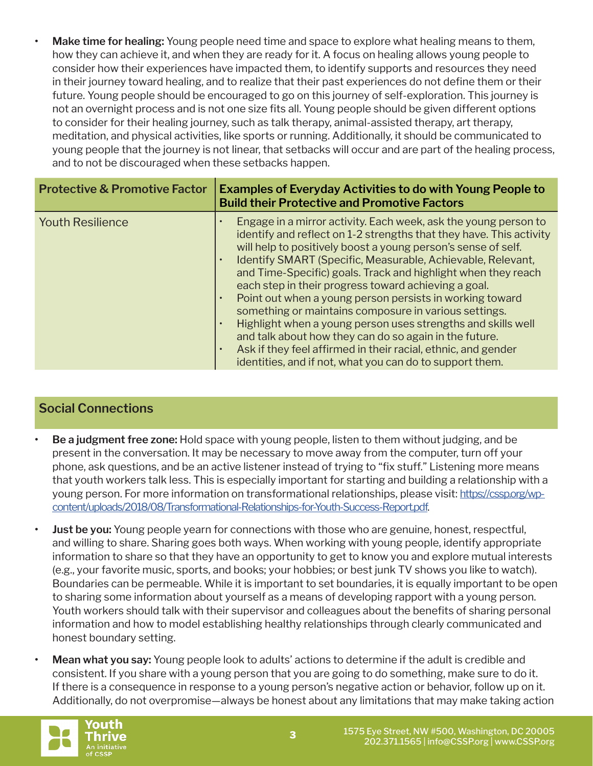**• Make time for healing:** Young people need time and space to explore what healing means to them, how they can achieve it, and when they are ready for it. A focus on healing allows young people to consider how their experiences have impacted them, to identify supports and resources they need in their journey toward healing, and to realize that their past experiences do not define them or their future. Young people should be encouraged to go on this journey of self-exploration. This journey is not an overnight process and is not one size fits all. Young people should be given different options to consider for their healing journey, such as talk therapy, animal-assisted therapy, art therapy, meditation, and physical activities, like sports or running. Additionally, it should be communicated to young people that the journey is not linear, that setbacks will occur and are part of the healing process, and to not be discouraged when these setbacks happen.

| <b>Protective &amp; Promotive Factor</b> | <b>Examples of Everyday Activities to do with Young People to</b><br><b>Build their Protective and Promotive Factors</b>                                                                                                                                                                                                                                                                                                                                                                                                                                                                                                                                                                                                                                                    |
|------------------------------------------|-----------------------------------------------------------------------------------------------------------------------------------------------------------------------------------------------------------------------------------------------------------------------------------------------------------------------------------------------------------------------------------------------------------------------------------------------------------------------------------------------------------------------------------------------------------------------------------------------------------------------------------------------------------------------------------------------------------------------------------------------------------------------------|
| <b>Youth Resilience</b>                  | Engage in a mirror activity. Each week, ask the young person to<br>identify and reflect on 1-2 strengths that they have. This activity<br>will help to positively boost a young person's sense of self.<br>Identify SMART (Specific, Measurable, Achievable, Relevant,<br>and Time-Specific) goals. Track and highlight when they reach<br>each step in their progress toward achieving a goal.<br>Point out when a young person persists in working toward<br>something or maintains composure in various settings.<br>Highlight when a young person uses strengths and skills well<br>and talk about how they can do so again in the future.<br>Ask if they feel affirmed in their racial, ethnic, and gender<br>identities, and if not, what you can do to support them. |

## **Social Connections**

- **• Be a judgment free zone:** Hold space with young people, listen to them without judging, and be present in the conversation. It may be necessary to move away from the computer, turn off your phone, ask questions, and be an active listener instead of trying to "fix stuff." Listening more means that youth workers talk less. This is especially important for starting and building a relationship with a young person. For more information on transformational relationships, please visit: [https://cssp.org/wp](https://cssp.org/wp-content/uploads/2018/08/Transformational-Relationships-for-Youth-Success-Report.pdf)[content/uploads/2018/08/Transformational-Relationships-for-Youth-Success-Report.pdf](https://cssp.org/wp-content/uploads/2018/08/Transformational-Relationships-for-Youth-Success-Report.pdf).
- **• Just be you:** Young people yearn for connections with those who are genuine, honest, respectful, and willing to share. Sharing goes both ways. When working with young people, identify appropriate information to share so that they have an opportunity to get to know you and explore mutual interests (e.g., your favorite music, sports, and books; your hobbies; or best junk TV shows you like to watch). Boundaries can be permeable. While it is important to set boundaries, it is equally important to be open to sharing some information about yourself as a means of developing rapport with a young person. Youth workers should talk with their supervisor and colleagues about the benefits of sharing personal information and how to model establishing healthy relationships through clearly communicated and honest boundary setting.
- **• Mean what you say:** Young people look to adults' actions to determine if the adult is credible and consistent. If you share with a young person that you are going to do something, make sure to do it. If there is a consequence in response to a young person's negative action or behavior, follow up on it. Additionally, do not overpromise—always be honest about any limitations that may make taking action

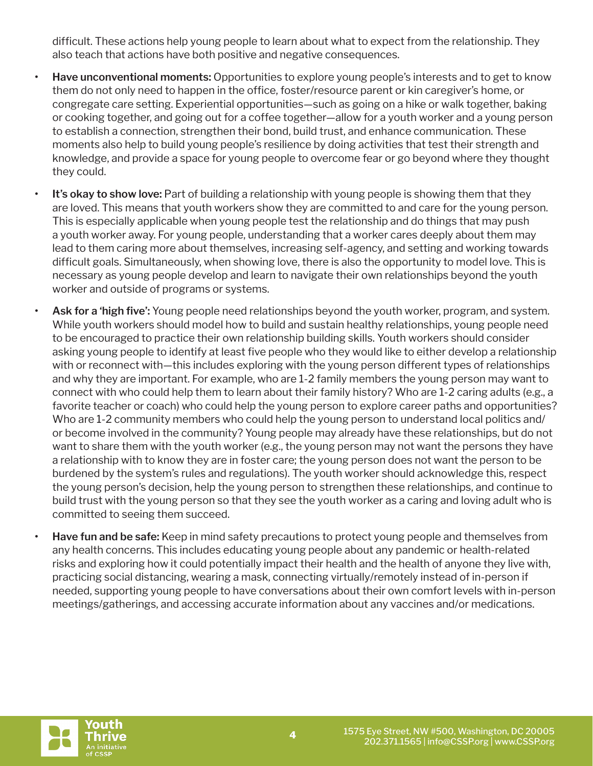difficult. These actions help young people to learn about what to expect from the relationship. They also teach that actions have both positive and negative consequences.

- **• Have unconventional moments:** Opportunities to explore young people's interests and to get to know them do not only need to happen in the office, foster/resource parent or kin caregiver's home, or congregate care setting. Experiential opportunities—such as going on a hike or walk together, baking or cooking together, and going out for a coffee together—allow for a youth worker and a young person to establish a connection, strengthen their bond, build trust, and enhance communication. These moments also help to build young people's resilience by doing activities that test their strength and knowledge, and provide a space for young people to overcome fear or go beyond where they thought they could.
	- **• It's okay to show love:** Part of building a relationship with young people is showing them that they are loved. This means that youth workers show they are committed to and care for the young person. This is especially applicable when young people test the relationship and do things that may push a youth worker away. For young people, understanding that a worker cares deeply about them may lead to them caring more about themselves, increasing self-agency, and setting and working towards difficult goals. Simultaneously, when showing love, there is also the opportunity to model love. This is necessary as young people develop and learn to navigate their own relationships beyond the youth worker and outside of programs or systems.
- **• Ask for a 'high five':** Young people need relationships beyond the youth worker, program, and system. While youth workers should model how to build and sustain healthy relationships, young people need to be encouraged to practice their own relationship building skills. Youth workers should consider asking young people to identify at least five people who they would like to either develop a relationship with or reconnect with—this includes exploring with the young person different types of relationships and why they are important. For example, who are 1-2 family members the young person may want to connect with who could help them to learn about their family history? Who are 1-2 caring adults (e.g., a favorite teacher or coach) who could help the young person to explore career paths and opportunities? Who are 1-2 community members who could help the young person to understand local politics and/ or become involved in the community? Young people may already have these relationships, but do not want to share them with the youth worker (e.g., the young person may not want the persons they have a relationship with to know they are in foster care; the young person does not want the person to be burdened by the system's rules and regulations). The youth worker should acknowledge this, respect the young person's decision, help the young person to strengthen these relationships, and continue to build trust with the young person so that they see the youth worker as a caring and loving adult who is committed to seeing them succeed.

**• Have fun and be safe:** Keep in mind safety precautions to protect young people and themselves from any health concerns. This includes educating young people about any pandemic or health-related risks and exploring how it could potentially impact their health and the health of anyone they live with, practicing social distancing, wearing a mask, connecting virtually/remotely instead of in-person if needed, supporting young people to have conversations about their own comfort levels with in-person meetings/gatherings, and accessing accurate information about any vaccines and/or medications.

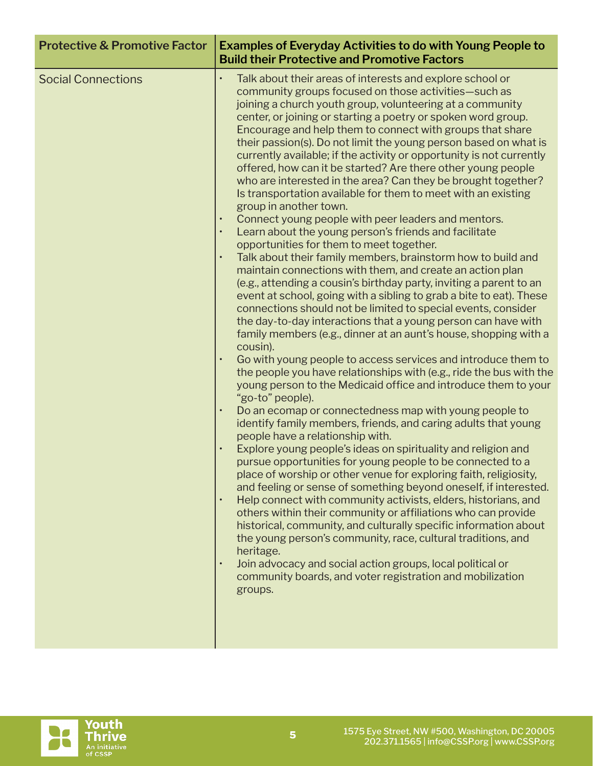| <b>Protective &amp; Promotive Factor</b> | <b>Examples of Everyday Activities to do with Young People to</b><br><b>Build their Protective and Promotive Factors</b>                                                                                                                                                                                                                                                                                                                                                                                                                                                                                                                                                                                                                                                                                                                                                                                                                                                                                                                                                                                                                                                                                                                                                                                                                                                                                                                                                                                                                                                                                                                                                                                                                                                                                                                                                                                                                                                                                                                                                                                                                                                                                                                                                                                                                                                                                                                                                             |
|------------------------------------------|--------------------------------------------------------------------------------------------------------------------------------------------------------------------------------------------------------------------------------------------------------------------------------------------------------------------------------------------------------------------------------------------------------------------------------------------------------------------------------------------------------------------------------------------------------------------------------------------------------------------------------------------------------------------------------------------------------------------------------------------------------------------------------------------------------------------------------------------------------------------------------------------------------------------------------------------------------------------------------------------------------------------------------------------------------------------------------------------------------------------------------------------------------------------------------------------------------------------------------------------------------------------------------------------------------------------------------------------------------------------------------------------------------------------------------------------------------------------------------------------------------------------------------------------------------------------------------------------------------------------------------------------------------------------------------------------------------------------------------------------------------------------------------------------------------------------------------------------------------------------------------------------------------------------------------------------------------------------------------------------------------------------------------------------------------------------------------------------------------------------------------------------------------------------------------------------------------------------------------------------------------------------------------------------------------------------------------------------------------------------------------------------------------------------------------------------------------------------------------------|
| <b>Social Connections</b>                | Talk about their areas of interests and explore school or<br>community groups focused on those activities-such as<br>joining a church youth group, volunteering at a community<br>center, or joining or starting a poetry or spoken word group.<br>Encourage and help them to connect with groups that share<br>their passion(s). Do not limit the young person based on what is<br>currently available; if the activity or opportunity is not currently<br>offered, how can it be started? Are there other young people<br>who are interested in the area? Can they be brought together?<br>Is transportation available for them to meet with an existing<br>group in another town.<br>Connect young people with peer leaders and mentors.<br>Learn about the young person's friends and facilitate<br>opportunities for them to meet together.<br>Talk about their family members, brainstorm how to build and<br>$\bullet$<br>maintain connections with them, and create an action plan<br>(e.g., attending a cousin's birthday party, inviting a parent to an<br>event at school, going with a sibling to grab a bite to eat). These<br>connections should not be limited to special events, consider<br>the day-to-day interactions that a young person can have with<br>family members (e.g., dinner at an aunt's house, shopping with a<br>cousin).<br>Go with young people to access services and introduce them to<br>the people you have relationships with (e.g., ride the bus with the<br>young person to the Medicaid office and introduce them to your<br>"go-to" people).<br>Do an ecomap or connectedness map with young people to<br>identify family members, friends, and caring adults that young<br>people have a relationship with.<br>Explore young people's ideas on spirituality and religion and<br>$\bullet$<br>pursue opportunities for young people to be connected to a<br>place of worship or other venue for exploring faith, religiosity,<br>and feeling or sense of something beyond oneself, if interested.<br>Help connect with community activists, elders, historians, and<br>$\bullet$<br>others within their community or affiliations who can provide<br>historical, community, and culturally specific information about<br>the young person's community, race, cultural traditions, and<br>heritage.<br>Join advocacy and social action groups, local political or<br>community boards, and voter registration and mobilization<br>groups. |

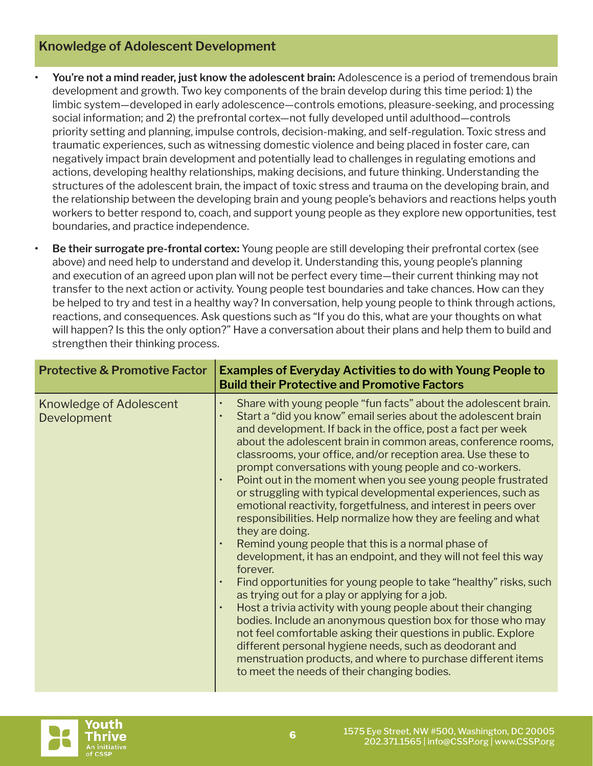### **Knowledge of Adolescent Development**

- **• You're not a mind reader, just know the adolescent brain:** Adolescence is a period of tremendous brain development and growth. Two key components of the brain develop during this time period: 1) the limbic system—developed in early adolescence—controls emotions, pleasure-seeking, and processing social information; and 2) the prefrontal cortex—not fully developed until adulthood—controls priority setting and planning, impulse controls, decision-making, and self-regulation. Toxic stress and traumatic experiences, such as witnessing domestic violence and being placed in foster care, can negatively impact brain development and potentially lead to challenges in regulating emotions and actions, developing healthy relationships, making decisions, and future thinking. Understanding the structures of the adolescent brain, the impact of toxic stress and trauma on the developing brain, and the relationship between the developing brain and young people's behaviors and reactions helps youth workers to better respond to, coach, and support young people as they explore new opportunities, test boundaries, and practice independence.
	- **• Be their surrogate pre-frontal cortex:** Young people are still developing their prefrontal cortex (see above) and need help to understand and develop it. Understanding this, young people's planning and execution of an agreed upon plan will not be perfect every time—their current thinking may not transfer to the next action or activity. Young people test boundaries and take chances. How can they be helped to try and test in a healthy way? In conversation, help young people to think through actions, reactions, and consequences. Ask questions such as "If you do this, what are your thoughts on what will happen? Is this the only option?" Have a conversation about their plans and help them to build and strengthen their thinking process.

| <b>Protective &amp; Promotive Factor</b>      | <b>Examples of Everyday Activities to do with Young People to</b><br><b>Build their Protective and Promotive Factors</b>                                                                                                                                                                                                                                                                                                                                                                                                                                                                                                                                                                                                                                                                                                                                                                                                                                                                                                                                                                                                                                                                                                                                                                                                                     |
|-----------------------------------------------|----------------------------------------------------------------------------------------------------------------------------------------------------------------------------------------------------------------------------------------------------------------------------------------------------------------------------------------------------------------------------------------------------------------------------------------------------------------------------------------------------------------------------------------------------------------------------------------------------------------------------------------------------------------------------------------------------------------------------------------------------------------------------------------------------------------------------------------------------------------------------------------------------------------------------------------------------------------------------------------------------------------------------------------------------------------------------------------------------------------------------------------------------------------------------------------------------------------------------------------------------------------------------------------------------------------------------------------------|
| <b>Knowledge of Adolescent</b><br>Development | Share with young people "fun facts" about the adolescent brain.<br>Start a "did you know" email series about the adolescent brain<br>and development. If back in the office, post a fact per week<br>about the adolescent brain in common areas, conference rooms,<br>classrooms, your office, and/or reception area. Use these to<br>prompt conversations with young people and co-workers.<br>Point out in the moment when you see young people frustrated<br>or struggling with typical developmental experiences, such as<br>emotional reactivity, forgetfulness, and interest in peers over<br>responsibilities. Help normalize how they are feeling and what<br>they are doing.<br>Remind young people that this is a normal phase of<br>development, it has an endpoint, and they will not feel this way<br>forever.<br>Find opportunities for young people to take "healthy" risks, such<br>as trying out for a play or applying for a job.<br>Host a trivia activity with young people about their changing<br>$\bullet$<br>bodies. Include an anonymous question box for those who may<br>not feel comfortable asking their questions in public. Explore<br>different personal hygiene needs, such as deodorant and<br>menstruation products, and where to purchase different items<br>to meet the needs of their changing bodies. |

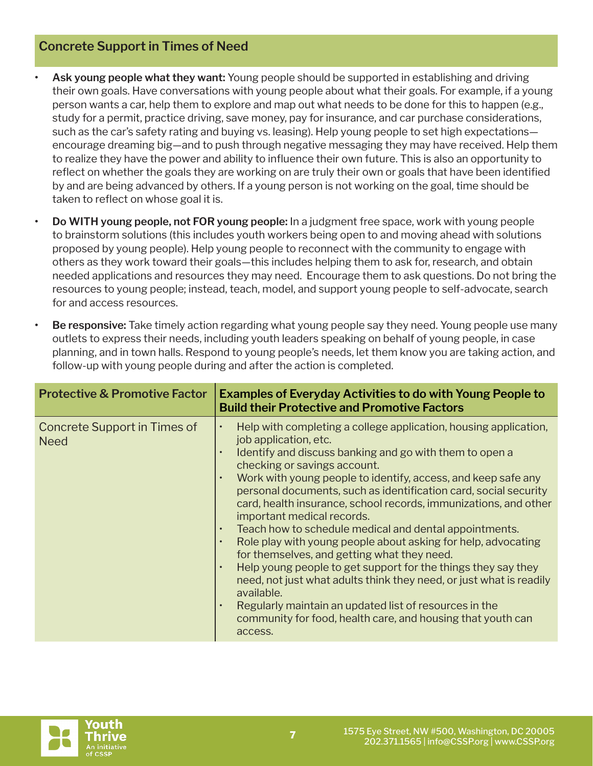### **Concrete Support in Times of Need**

- **• Ask young people what they want:** Young people should be supported in establishing and driving their own goals. Have conversations with young people about what their goals. For example, if a young person wants a car, help them to explore and map out what needs to be done for this to happen (e.g., study for a permit, practice driving, save money, pay for insurance, and car purchase considerations, such as the car's safety rating and buying vs. leasing). Help young people to set high expectations encourage dreaming big—and to push through negative messaging they may have received. Help them to realize they have the power and ability to influence their own future. This is also an opportunity to reflect on whether the goals they are working on are truly their own or goals that have been identified by and are being advanced by others. If a young person is not working on the goal, time should be taken to reflect on whose goal it is.
- **• Do WITH young people, not FOR young people:** In a judgment free space, work with young people to brainstorm solutions (this includes youth workers being open to and moving ahead with solutions proposed by young people). Help young people to reconnect with the community to engage with others as they work toward their goals—this includes helping them to ask for, research, and obtain needed applications and resources they may need. Encourage them to ask questions. Do not bring the resources to young people; instead, teach, model, and support young people to self-advocate, search for and access resources.

| <b>Protective &amp; Promotive Factor</b>    | <b>Examples of Everyday Activities to do with Young People to</b><br><b>Build their Protective and Promotive Factors</b>                                                                                                                                                                                                                                                                                                                                                                                                                                                                                                                                                                                                                                                                                                                                                                        |
|---------------------------------------------|-------------------------------------------------------------------------------------------------------------------------------------------------------------------------------------------------------------------------------------------------------------------------------------------------------------------------------------------------------------------------------------------------------------------------------------------------------------------------------------------------------------------------------------------------------------------------------------------------------------------------------------------------------------------------------------------------------------------------------------------------------------------------------------------------------------------------------------------------------------------------------------------------|
| Concrete Support in Times of<br><b>Need</b> | Help with completing a college application, housing application,<br>job application, etc.<br>Identify and discuss banking and go with them to open a<br>checking or savings account.<br>Work with young people to identify, access, and keep safe any<br>personal documents, such as identification card, social security<br>card, health insurance, school records, immunizations, and other<br>important medical records.<br>Teach how to schedule medical and dental appointments.<br>Role play with young people about asking for help, advocating<br>for themselves, and getting what they need.<br>Help young people to get support for the things they say they<br>need, not just what adults think they need, or just what is readily<br>available.<br>Regularly maintain an updated list of resources in the<br>community for food, health care, and housing that youth can<br>access. |

**• Be responsive:** Take timely action regarding what young people say they need. Young people use many outlets to express their needs, including youth leaders speaking on behalf of young people, in case planning, and in town halls. Respond to young people's needs, let them know you are taking action, and follow-up with young people during and after the action is completed.

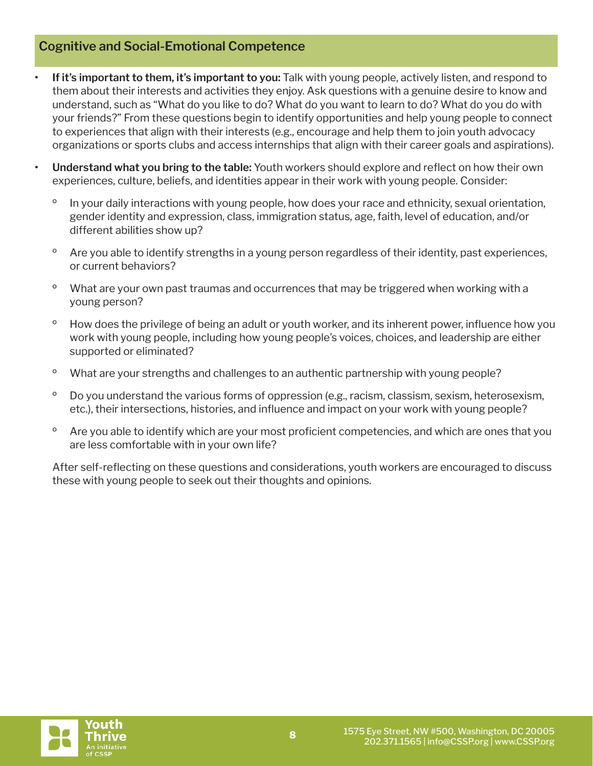### **Cognitive and Social-Emotional Competence**

- **• If it's important to them, it's important to you:** Talk with young people, actively listen, and respond to them about their interests and activities they enjoy. Ask questions with a genuine desire to know and understand, such as "What do you like to do? What do you want to learn to do? What do you do with your friends?" From these questions begin to identify opportunities and help young people to connect to experiences that align with their interests (e.g., encourage and help them to join youth advocacy organizations or sports clubs and access internships that align with their career goals and aspirations).
- **• Understand what you bring to the table:** Youth workers should explore and reflect on how their own experiences, culture, beliefs, and identities appear in their work with young people. Consider:
	- In your daily interactions with young people, how does your race and ethnicity, sexual orientation, gender identity and expression, class, immigration status, age, faith, level of education, and/or different abilities show up?
	- º Are you able to identify strengths in a young person regardless of their identity, past experiences, or current behaviors?
	- º What are your own past traumas and occurrences that may be triggered when working with a young person?
	- <sup>o</sup> How does the privilege of being an adult or youth worker, and its inherent power, influence how you work with young people, including how young people's voices, choices, and leadership are either supported or eliminated?
	- º What are your strengths and challenges to an authentic partnership with young people?
	- <sup>o</sup> Do you understand the various forms of oppression (e.g., racism, classism, sexism, heterosexism, etc.), their intersections, histories, and influence and impact on your work with young people?
	- <sup>o</sup> Are you able to identify which are your most proficient competencies, and which are ones that you are less comfortable with in your own life?

After self-reflecting on these questions and considerations, youth workers are encouraged to discuss these with young people to seek out their thoughts and opinions.